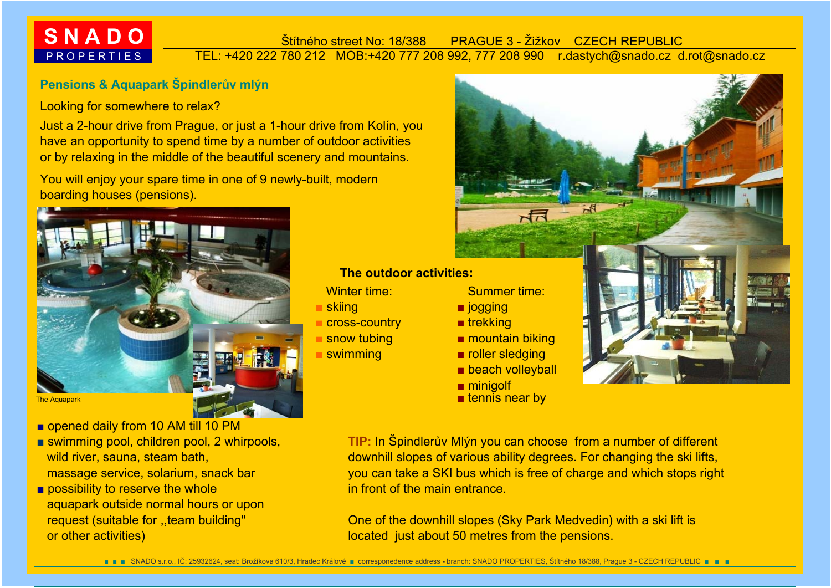# **S N A D O** P R O P E R T I E S

#### TEL: +420 222 780 212 MOB:+420 777 208 992, 777 208 990 r.dastych@snado.cz d.rot@snado.cz Štítného street No: 18/388 PRAGUE 3 - Žižkov CZECH REPUBLIC

# **Pensions & Aquapark Špindlerův mlýn**

#### Looking for somewhere to relax?

 Just a 2-hour drive from Prague, or just a 1-hour drive from Kolín, you have an opportunity to spend time by a number of outdoor activities or by relaxing in the middle of the beautiful scenery and mountains.

 You will enjoy your spare time in one of 9 newly-built, modern boarding houses (pensions).



- opened daily from 10 AM till 10 PM
- swimming pool, children pool, 2 whirpools, wild river, sauna, steam bath, massage service, solarium, snack bar
- possibility to reserve the whole aquapark outside normal hours or upon request (suitable for ..team building"

### **The outdoor activities:**

- Winter time:
- skiing
- cross-country
- snow tubing
- swimming

#### Summer time:

- jogging
- trekking
- mountain biking
- roller sledging
- beach volleyball
- minigolf
- $\blacksquare$  tennis near by



 you can take a SKI bus which is free of charge and which stops right in front of the main entrance.**TIP:** In Špindler<sup>ů</sup>v Mlýn you can choose from a number of different downhill slopes of various ability degrees. For changing the ski lifts,

 One of the downhill slopes (Sky Park Medvedin) with a ski lift is or other activities) located just about 50 metres from the pensions.